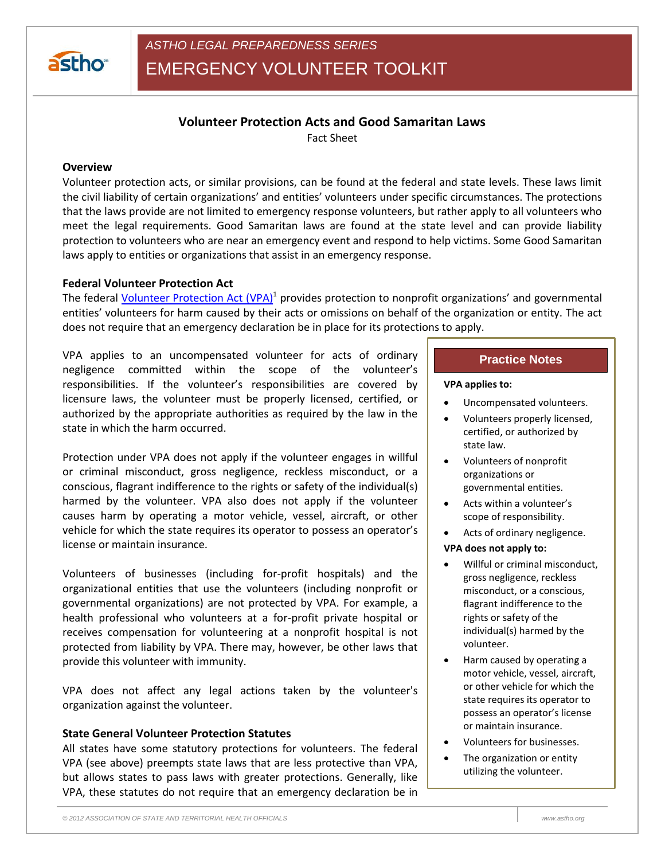

# **Volunteer Protection Acts and Good Samaritan Laws**

Fact Sheet

## **Overview**

Volunteer protection acts, or similar provisions, can be found at the federal and state levels. These laws limit the civil liability of certain organizations' and entities' volunteers under specific circumstances. The protections that the laws provide are not limited to emergency response volunteers, but rather apply to all volunteers who meet the legal requirements. Good Samaritan laws are found at the state level and can provide liability protection to volunteers who are near an emergency event and respond to help victims. Some Good Samaritan laws apply to entities or organizations that assist in an emergency response.

### **Federal Volunteer Protection Act**

The federal *Volunteer Protection Act (VPA)*<sup>1</sup> provides protection to nonprofit organizations' and governmental entities' volunteers for harm caused by their acts or omissions on behalf of the organization or entity. The act does not require that an emergency declaration be in place for its protections to apply.

VPA applies to an uncompensated volunteer for acts of ordinary negligence committed within the scope of the volunteer's responsibilities. If the volunteer's responsibilities are covered by licensure laws, the volunteer must be properly licensed, certified, or authorized by the appropriate authorities as required by the law in the state in which the harm occurred.

Protection under VPA does not apply if the volunteer engages in willful or criminal misconduct, gross negligence, reckless misconduct, or a conscious, flagrant indifference to the rights or safety of the individual(s) harmed by the volunteer. VPA also does not apply if the volunteer causes harm by operating a motor vehicle, vessel, aircraft, or other vehicle for which the state requires its operator to possess an operator's license or maintain insurance.

Volunteers of businesses (including for-profit hospitals) and the organizational entities that use the volunteers (including nonprofit or governmental organizations) are not protected by VPA. For example, a health professional who volunteers at a for-profit private hospital or receives compensation for volunteering at a nonprofit hospital is not protected from liability by VPA. There may, however, be other laws that provide this volunteer with immunity.

VPA does not affect any legal actions taken by the volunteer's organization against the volunteer.

#### **State General Volunteer Protection Statutes**

All states have some statutory protections for volunteers. The federal VPA (see above) preempts state laws that are less protective than VPA, but allows states to pass laws with greater protections. Generally, like VPA, these statutes do not require that an emergency declaration be in

## **Practice Notes**

#### **VPA applies to:**

- Uncompensated volunteers.
- Volunteers properly licensed, certified, or authorized by state law.
- Volunteers of nonprofit organizations or governmental entities.
- Acts within a volunteer's scope of responsibility.
- Acts of ordinary negligence.

#### **VPA does not apply to:**

- Willful or criminal misconduct, gross negligence, reckless misconduct, or a conscious, flagrant indifference to the rights or safety of the individual(s) harmed by the volunteer.
- Harm caused by operating a motor vehicle, vessel, aircraft, or other vehicle for which the state requires its operator to possess an operator's license or maintain insurance.
- Volunteers for businesses.
- The organization or entity utilizing the volunteer.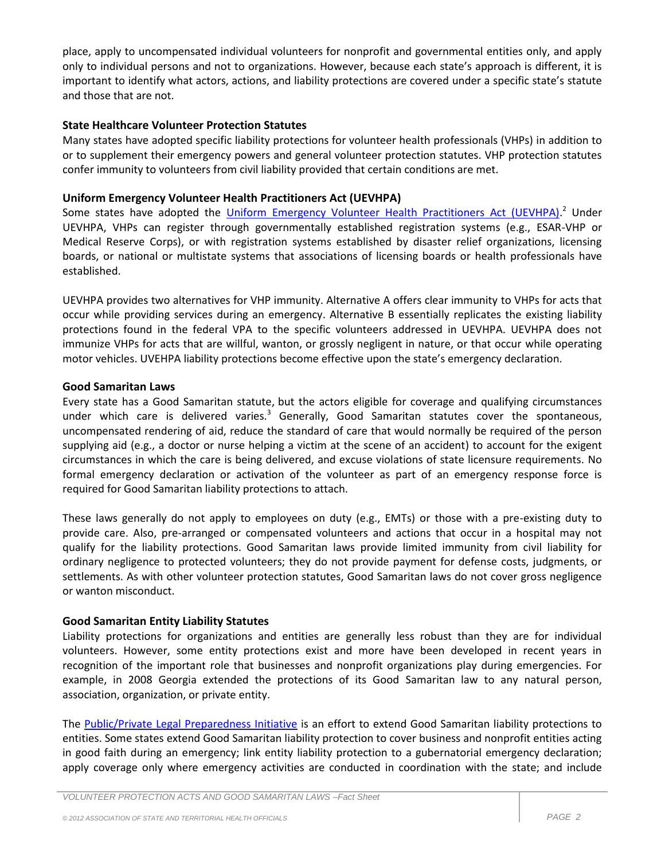place, apply to uncompensated individual volunteers for nonprofit and governmental entities only, and apply only to individual persons and not to organizations. However, because each state's approach is different, it is important to identify what actors, actions, and liability protections are covered under a specific state's statute and those that are not.

## **State Healthcare Volunteer Protection Statutes**

Many states have adopted specific liability protections for volunteer health professionals (VHPs) in addition to or to supplement their emergency powers and general volunteer protection statutes. VHP protection statutes confer immunity to volunteers from civil liability provided that certain conditions are met.

## **Uniform Emergency Volunteer Health Practitioners Act (UEVHPA)**

Some states have adopted the *Uniform Emergency Volunteer Health Practitioners Act (UEVHPA)*.<sup>2</sup> Under UEVHPA, VHPs can register through governmentally established registration systems (e.g., ESAR-VHP or Medical Reserve Corps), or with registration systems established by disaster relief organizations, licensing boards, or national or multistate systems that associations of licensing boards or health professionals have established.

UEVHPA provides two alternatives for VHP immunity. Alternative A offers clear immunity to VHPs for acts that occur while providing services during an emergency. Alternative B essentially replicates the existing liability protections found in the federal VPA to the specific volunteers addressed in UEVHPA. UEVHPA does not immunize VHPs for acts that are willful, wanton, or grossly negligent in nature, or that occur while operating motor vehicles. UVEHPA liability protections become effective upon the state's emergency declaration.

## **Good Samaritan Laws**

Every state has a Good Samaritan statute, but the actors eligible for coverage and qualifying circumstances under which care is delivered varies. $3$  Generally, Good Samaritan statutes cover the spontaneous, uncompensated rendering of aid, reduce the standard of care that would normally be required of the person supplying aid (e.g., a doctor or nurse helping a victim at the scene of an accident) to account for the exigent circumstances in which the care is being delivered, and excuse violations of state licensure requirements. No formal emergency declaration or activation of the volunteer as part of an emergency response force is required for Good Samaritan liability protections to attach.

These laws generally do not apply to employees on duty (e.g., EMTs) or those with a pre-existing duty to provide care. Also, pre-arranged or compensated volunteers and actions that occur in a hospital may not qualify for the liability protections. Good Samaritan laws provide limited immunity from civil liability for ordinary negligence to protected volunteers; they do not provide payment for defense costs, judgments, or settlements. As with other volunteer protection statutes, Good Samaritan laws do not cover gross negligence or wanton misconduct.

## **Good Samaritan Entity Liability Statutes**

Liability protections for organizations and entities are generally less robust than they are for individual volunteers. However, some entity protections exist and more have been developed in recent years in recognition of the important role that businesses and nonprofit organizations play during emergencies. For example, in 2008 Georgia extended the protections of its Good Samaritan law to any natural person, association, organization, or private entity.

The [Public/Private Legal Preparedness Initiative](http://nciph.sph.unc.edu/law/index.htm) is an effort to extend Good Samaritan liability protections to entities. Some states extend Good Samaritan liability protection to cover business and nonprofit entities acting in good faith during an emergency; link entity liability protection to a gubernatorial emergency declaration; apply coverage only where emergency activities are conducted in coordination with the state; and include